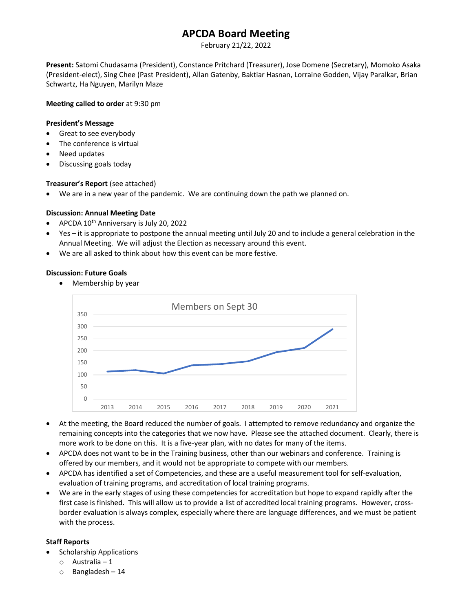# APCDA Board Meeting

February 21/22, 2022

Present: Satomi Chudasama (President), Constance Pritchard (Treasurer), Jose Domene (Secretary), Momoko Asaka (President-elect), Sing Chee (Past President), Allan Gatenby, Baktiar Hasnan, Lorraine Godden, Vijay Paralkar, Brian Schwartz, Ha Nguyen, Marilyn Maze

#### Meeting called to order at 9:30 pm

# President's Message

- Great to see everybody
- The conference is virtual
- Need updates
- Discussing goals today

## Treasurer's Report (see attached)

We are in a new year of the pandemic. We are continuing down the path we planned on.

## Discussion: Annual Meeting Date

- APCDA  $10^{th}$  Anniversary is July 20, 2022
- Yes it is appropriate to postpone the annual meeting until July 20 and to include a general celebration in the Annual Meeting. We will adjust the Election as necessary around this event.
- We are all asked to think about how this event can be more festive.

## Discussion: Future Goals

• Membership by year



- At the meeting, the Board reduced the number of goals. I attempted to remove redundancy and organize the remaining concepts into the categories that we now have. Please see the attached document. Clearly, there is more work to be done on this. It is a five-year plan, with no dates for many of the items.
- APCDA does not want to be in the Training business, other than our webinars and conference. Training is offered by our members, and it would not be appropriate to compete with our members.
- APCDA has identified a set of Competencies, and these are a useful measurement tool for self-evaluation, evaluation of training programs, and accreditation of local training programs.
- We are in the early stages of using these competencies for accreditation but hope to expand rapidly after the first case is finished. This will allow us to provide a list of accredited local training programs. However, crossborder evaluation is always complex, especially where there are language differences, and we must be patient with the process.

# Staff Reports

- Scholarship Applications
	- o Australia 1
	- $\circ$  Bangladesh 14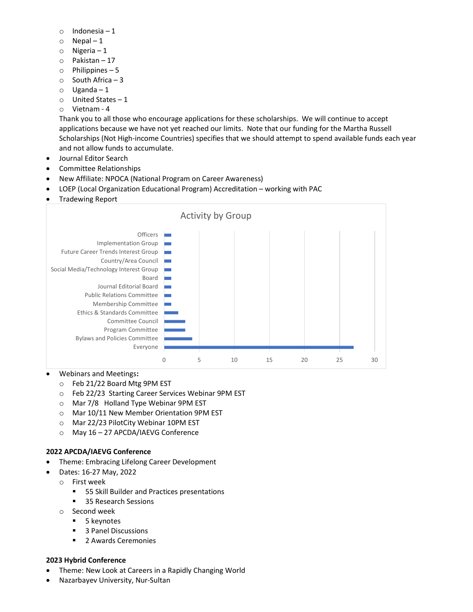- o Indonesia 1
- $\circ$  Nepal 1
- o Nigeria 1
- o Pakistan 17
- o Philippines 5
- o South Africa 3
- $\circ$  Uganda 1
- o United States 1
- o Vietnam 4

Thank you to all those who encourage applications for these scholarships. We will continue to accept applications because we have not yet reached our limits. Note that our funding for the Martha Russell Scholarships (Not High-income Countries) specifies that we should attempt to spend available funds each year and not allow funds to accumulate.

- Journal Editor Search
- Committee Relationships
- New Affiliate: NPOCA (National Program on Career Awareness)
- LOEP (Local Organization Educational Program) Accreditation working with PAC
- Tradewing Report



#### Webinars and Meetings:

- o Feb 21/22 Board Mtg 9PM EST
- o Feb 22/23 Starting Career Services Webinar 9PM EST
- o Mar 7/8 Holland Type Webinar 9PM EST
- o Mar 10/11 New Member Orientation 9PM EST
- o Mar 22/23 PilotCity Webinar 10PM EST
- o May 16 27 APCDA/IAEVG Conference

# 2022 APCDA/IAEVG Conference

- Theme: Embracing Lifelong Career Development
- Dates: 16-27 May, 2022
	- o First week
		- **55 Skill Builder and Practices presentations**
		- 35 Research Sessions
	- o Second week
		- 5 keynotes
		- 3 Panel Discussions
		- 2 Awards Ceremonies

#### 2023 Hybrid Conference

- Theme: New Look at Careers in a Rapidly Changing World
- Nazarbayev University, Nur-Sultan